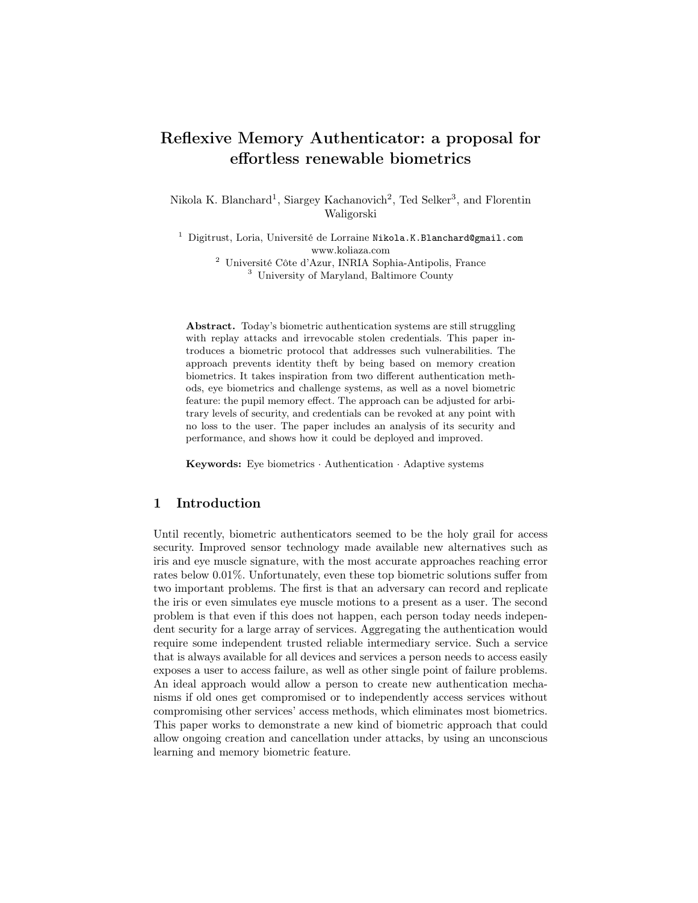# Reflexive Memory Authenticator: a proposal for effortless renewable biometrics

Nikola K. Blanchard<sup>1</sup>, Siargey Kachanovich<sup>2</sup>, Ted Selker<sup>3</sup>, and Florentin Waligorski

<sup>1</sup> Digitrust, Loria, Université de Lorraine Nikola.K.Blanchard@gmail.com www.koliaza.com <sup>2</sup> Université Côte d'Azur, INRIA Sophia-Antipolis, France <sup>3</sup> University of Maryland, Baltimore County

Abstract. Today's biometric authentication systems are still struggling with replay attacks and irrevocable stolen credentials. This paper introduces a biometric protocol that addresses such vulnerabilities. The approach prevents identity theft by being based on memory creation biometrics. It takes inspiration from two different authentication methods, eye biometrics and challenge systems, as well as a novel biometric feature: the pupil memory effect. The approach can be adjusted for arbitrary levels of security, and credentials can be revoked at any point with no loss to the user. The paper includes an analysis of its security and performance, and shows how it could be deployed and improved.

Keywords: Eye biometrics · Authentication · Adaptive systems

## 1 Introduction

Until recently, biometric authenticators seemed to be the holy grail for access security. Improved sensor technology made available new alternatives such as iris and eye muscle signature, with the most accurate approaches reaching error rates below 0.01%. Unfortunately, even these top biometric solutions suffer from two important problems. The first is that an adversary can record and replicate the iris or even simulates eye muscle motions to a present as a user. The second problem is that even if this does not happen, each person today needs independent security for a large array of services. Aggregating the authentication would require some independent trusted reliable intermediary service. Such a service that is always available for all devices and services a person needs to access easily exposes a user to access failure, as well as other single point of failure problems. An ideal approach would allow a person to create new authentication mechanisms if old ones get compromised or to independently access services without compromising other services' access methods, which eliminates most biometrics. This paper works to demonstrate a new kind of biometric approach that could allow ongoing creation and cancellation under attacks, by using an unconscious learning and memory biometric feature.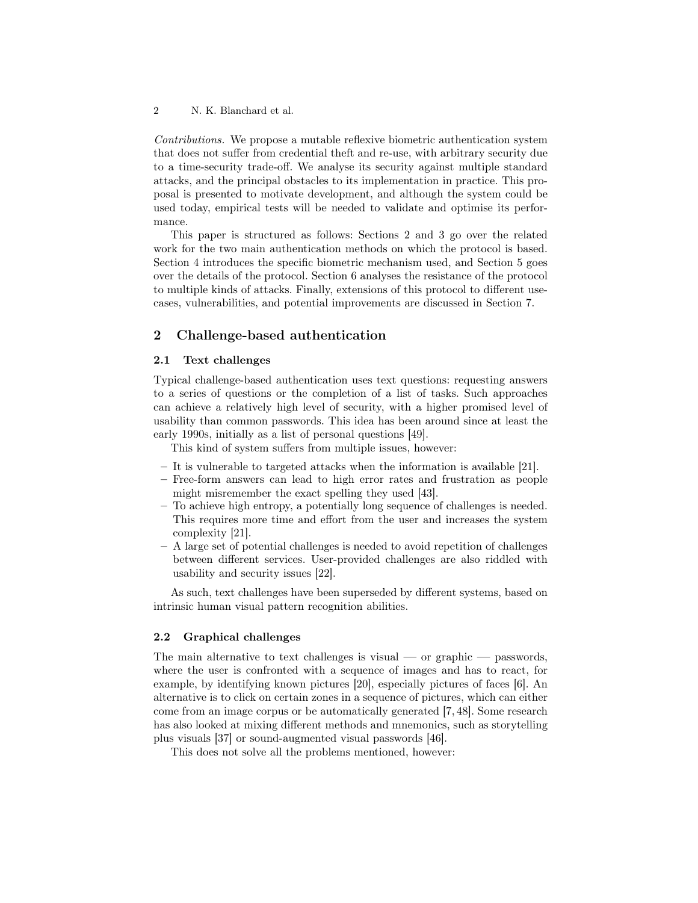Contributions. We propose a mutable reflexive biometric authentication system that does not suffer from credential theft and re-use, with arbitrary security due to a time-security trade-off. We analyse its security against multiple standard attacks, and the principal obstacles to its implementation in practice. This proposal is presented to motivate development, and although the system could be used today, empirical tests will be needed to validate and optimise its performance.

This paper is structured as follows: Sections 2 and 3 go over the related work for the two main authentication methods on which the protocol is based. Section 4 introduces the specific biometric mechanism used, and Section 5 goes over the details of the protocol. Section 6 analyses the resistance of the protocol to multiple kinds of attacks. Finally, extensions of this protocol to different usecases, vulnerabilities, and potential improvements are discussed in Section 7.

# 2 Challenge-based authentication

#### 2.1 Text challenges

Typical challenge-based authentication uses text questions: requesting answers to a series of questions or the completion of a list of tasks. Such approaches can achieve a relatively high level of security, with a higher promised level of usability than common passwords. This idea has been around since at least the early 1990s, initially as a list of personal questions [49].

This kind of system suffers from multiple issues, however:

- It is vulnerable to targeted attacks when the information is available [21].
- Free-form answers can lead to high error rates and frustration as people might misremember the exact spelling they used [43].
- To achieve high entropy, a potentially long sequence of challenges is needed. This requires more time and effort from the user and increases the system complexity [21].
- A large set of potential challenges is needed to avoid repetition of challenges between different services. User-provided challenges are also riddled with usability and security issues [22].

As such, text challenges have been superseded by different systems, based on intrinsic human visual pattern recognition abilities.

## 2.2 Graphical challenges

The main alternative to text challenges is visual — or graphic — passwords, where the user is confronted with a sequence of images and has to react, for example, by identifying known pictures [20], especially pictures of faces [6]. An alternative is to click on certain zones in a sequence of pictures, which can either come from an image corpus or be automatically generated [7, 48]. Some research has also looked at mixing different methods and mnemonics, such as storytelling plus visuals [37] or sound-augmented visual passwords [46].

This does not solve all the problems mentioned, however: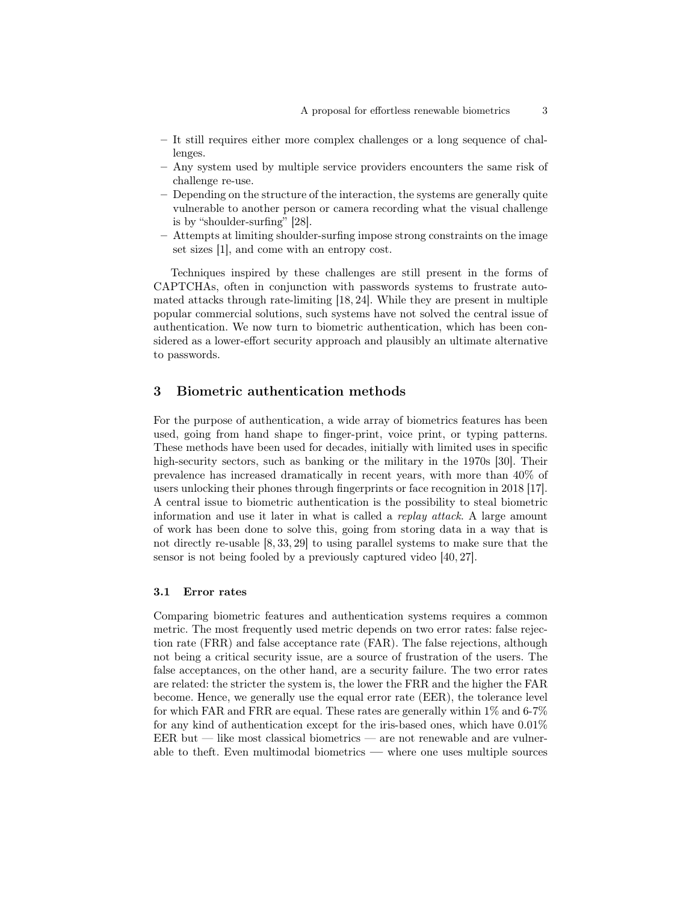- It still requires either more complex challenges or a long sequence of challenges.
- Any system used by multiple service providers encounters the same risk of challenge re-use.
- Depending on the structure of the interaction, the systems are generally quite vulnerable to another person or camera recording what the visual challenge is by "shoulder-surfing" [28].
- Attempts at limiting shoulder-surfing impose strong constraints on the image set sizes [1], and come with an entropy cost.

Techniques inspired by these challenges are still present in the forms of CAPTCHAs, often in conjunction with passwords systems to frustrate automated attacks through rate-limiting [18, 24]. While they are present in multiple popular commercial solutions, such systems have not solved the central issue of authentication. We now turn to biometric authentication, which has been considered as a lower-effort security approach and plausibly an ultimate alternative to passwords.

# 3 Biometric authentication methods

For the purpose of authentication, a wide array of biometrics features has been used, going from hand shape to finger-print, voice print, or typing patterns. These methods have been used for decades, initially with limited uses in specific high-security sectors, such as banking or the military in the 1970s [30]. Their prevalence has increased dramatically in recent years, with more than 40% of users unlocking their phones through fingerprints or face recognition in 2018 [17]. A central issue to biometric authentication is the possibility to steal biometric information and use it later in what is called a replay attack. A large amount of work has been done to solve this, going from storing data in a way that is not directly re-usable [8, 33, 29] to using parallel systems to make sure that the sensor is not being fooled by a previously captured video [40, 27].

#### 3.1 Error rates

Comparing biometric features and authentication systems requires a common metric. The most frequently used metric depends on two error rates: false rejection rate (FRR) and false acceptance rate (FAR). The false rejections, although not being a critical security issue, are a source of frustration of the users. The false acceptances, on the other hand, are a security failure. The two error rates are related: the stricter the system is, the lower the FRR and the higher the FAR become. Hence, we generally use the equal error rate (EER), the tolerance level for which FAR and FRR are equal. These rates are generally within 1% and 6-7% for any kind of authentication except for the iris-based ones, which have 0.01% EER but — like most classical biometrics — are not renewable and are vulnerable to theft. Even multimodal biometrics — where one uses multiple sources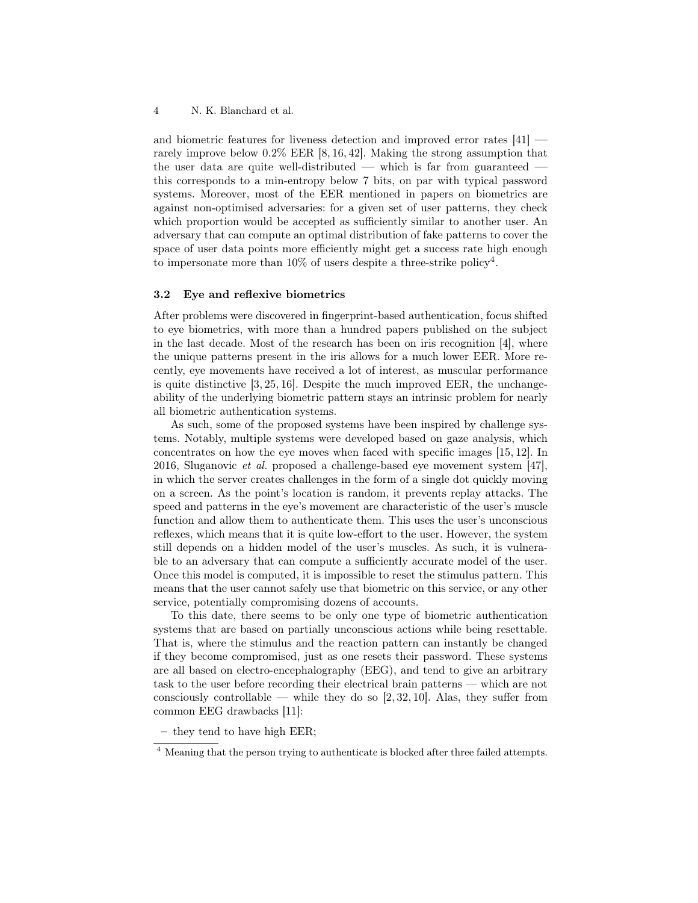and biometric features for liveness detection and improved error rates [41] rarely improve below 0.2% EER [8, 16, 42]. Making the strong assumption that the user data are quite well-distributed — which is far from guaranteed this corresponds to a min-entropy below 7 bits, on par with typical password systems. Moreover, most of the EER mentioned in papers on biometrics are against non-optimised adversaries: for a given set of user patterns, they check which proportion would be accepted as sufficiently similar to another user. An adversary that can compute an optimal distribution of fake patterns to cover the space of user data points more efficiently might get a success rate high enough to impersonate more than 10% of users despite a three-strike policy<sup>4</sup> .

#### 3.2 Eye and reflexive biometrics

After problems were discovered in fingerprint-based authentication, focus shifted to eye biometrics, with more than a hundred papers published on the subject in the last decade. Most of the research has been on iris recognition [4], where the unique patterns present in the iris allows for a much lower EER. More recently, eye movements have received a lot of interest, as muscular performance is quite distinctive [3, 25, 16]. Despite the much improved EER, the unchangeability of the underlying biometric pattern stays an intrinsic problem for nearly all biometric authentication systems.

As such, some of the proposed systems have been inspired by challenge systems. Notably, multiple systems were developed based on gaze analysis, which concentrates on how the eye moves when faced with specific images [15, 12]. In 2016, Sluganovic *et al.* proposed a challenge-based eye movement system [47], in which the server creates challenges in the form of a single dot quickly moving on a screen. As the point's location is random, it prevents replay attacks. The speed and patterns in the eye's movement are characteristic of the user's muscle function and allow them to authenticate them. This uses the user's unconscious reflexes, which means that it is quite low-effort to the user. However, the system still depends on a hidden model of the user's muscles. As such, it is vulnerable to an adversary that can compute a sufficiently accurate model of the user. Once this model is computed, it is impossible to reset the stimulus pattern. This means that the user cannot safely use that biometric on this service, or any other service, potentially compromising dozens of accounts.

To this date, there seems to be only one type of biometric authentication systems that are based on partially unconscious actions while being resettable. That is, where the stimulus and the reaction pattern can instantly be changed if they become compromised, just as one resets their password. These systems are all based on electro-encephalography (EEG), and tend to give an arbitrary task to the user before recording their electrical brain patterns — which are not consciously controllable — while they do so  $[2, 32, 10]$ . Alas, they suffer from common EEG drawbacks [11]:

– they tend to have high EER;

<sup>4</sup> Meaning that the person trying to authenticate is blocked after three failed attempts.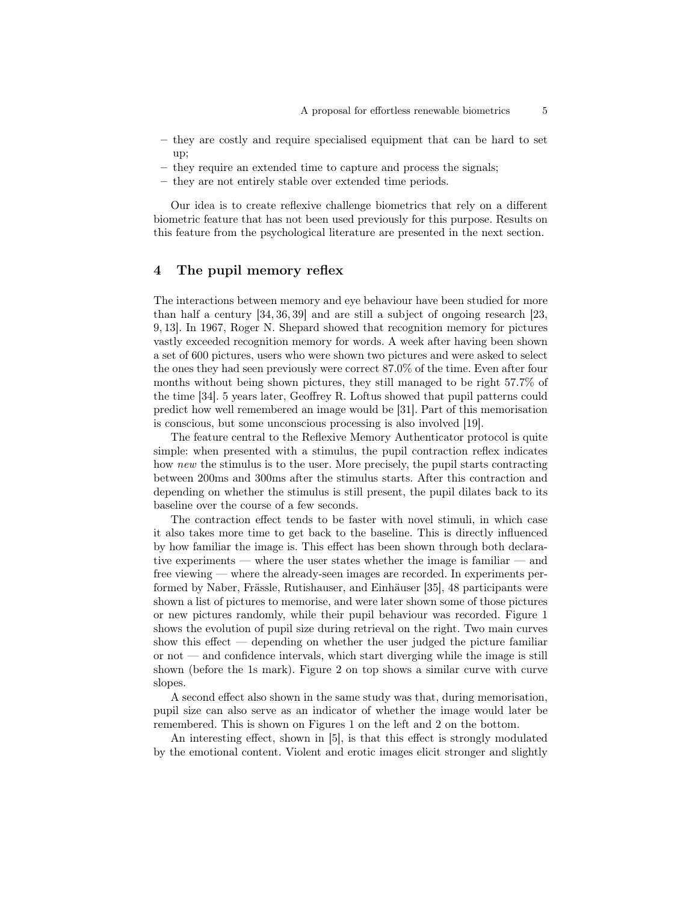- they are costly and require specialised equipment that can be hard to set up;
- they require an extended time to capture and process the signals;
- they are not entirely stable over extended time periods.

Our idea is to create reflexive challenge biometrics that rely on a different biometric feature that has not been used previously for this purpose. Results on this feature from the psychological literature are presented in the next section.

# 4 The pupil memory reflex

The interactions between memory and eye behaviour have been studied for more than half a century [34, 36, 39] and are still a subject of ongoing research [23, 9, 13]. In 1967, Roger N. Shepard showed that recognition memory for pictures vastly exceeded recognition memory for words. A week after having been shown a set of 600 pictures, users who were shown two pictures and were asked to select the ones they had seen previously were correct 87.0% of the time. Even after four months without being shown pictures, they still managed to be right 57.7% of the time [34]. 5 years later, Geoffrey R. Loftus showed that pupil patterns could predict how well remembered an image would be [31]. Part of this memorisation is conscious, but some unconscious processing is also involved [19].

The feature central to the Reflexive Memory Authenticator protocol is quite simple: when presented with a stimulus, the pupil contraction reflex indicates how new the stimulus is to the user. More precisely, the pupil starts contracting between 200ms and 300ms after the stimulus starts. After this contraction and depending on whether the stimulus is still present, the pupil dilates back to its baseline over the course of a few seconds.

The contraction effect tends to be faster with novel stimuli, in which case it also takes more time to get back to the baseline. This is directly influenced by how familiar the image is. This effect has been shown through both declarative experiments — where the user states whether the image is familiar — and free viewing — where the already-seen images are recorded. In experiments performed by Naber, Frässle, Rutishauser, and Einhäuser [35], 48 participants were shown a list of pictures to memorise, and were later shown some of those pictures or new pictures randomly, while their pupil behaviour was recorded. Figure 1 shows the evolution of pupil size during retrieval on the right. Two main curves show this effect  $-$  depending on whether the user judged the picture familiar or not — and confidence intervals, which start diverging while the image is still shown (before the 1s mark). Figure 2 on top shows a similar curve with curve slopes.

A second effect also shown in the same study was that, during memorisation, pupil size can also serve as an indicator of whether the image would later be remembered. This is shown on Figures 1 on the left and 2 on the bottom.

An interesting effect, shown in [5], is that this effect is strongly modulated by the emotional content. Violent and erotic images elicit stronger and slightly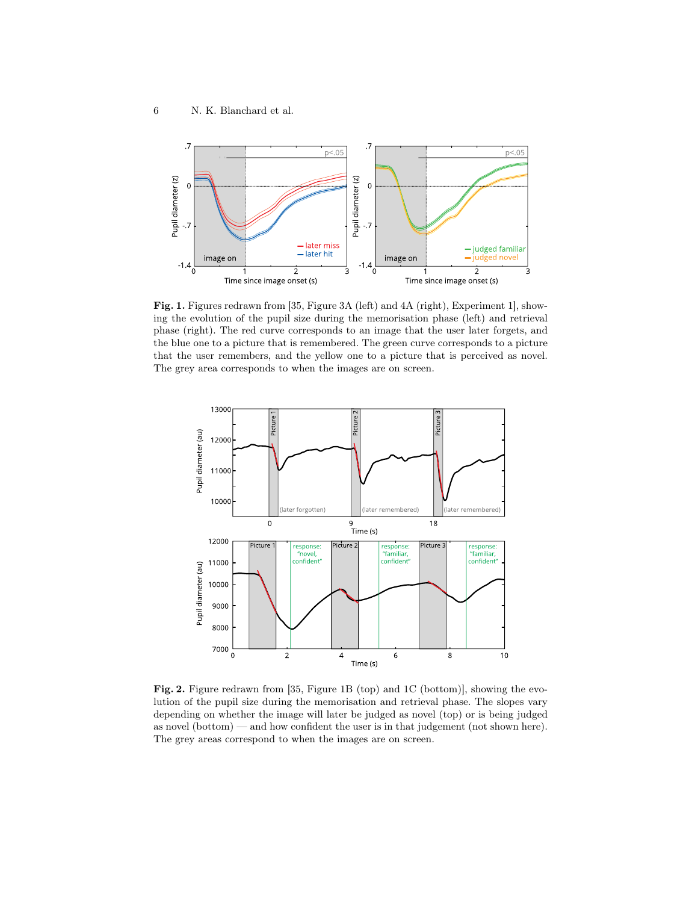

Fig. 1. Figures redrawn from [35, Figure 3A (left) and 4A (right), Experiment 1], showing the evolution of the pupil size during the memorisation phase (left) and retrieval phase (right). The red curve corresponds to an image that the user later forgets, and the blue one to a picture that is remembered. The green curve corresponds to a picture that the user remembers, and the yellow one to a picture that is perceived as novel. The grey area corresponds to when the images are on screen.



Fig. 2. Figure redrawn from [35, Figure 1B (top) and 1C (bottom)], showing the evolution of the pupil size during the memorisation and retrieval phase. The slopes vary depending on whether the image will later be judged as novel (top) or is being judged as novel (bottom) — and how confident the user is in that judgement (not shown here). The grey areas correspond to when the images are on screen.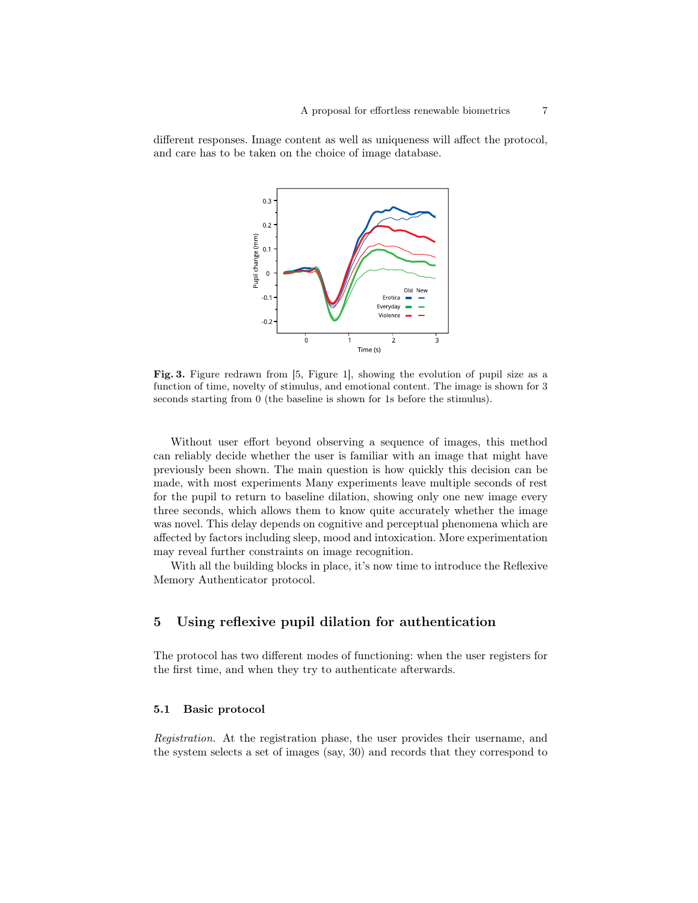different responses. Image content as well as uniqueness will affect the protocol, and care has to be taken on the choice of image database.



Fig. 3. Figure redrawn from [5, Figure 1], showing the evolution of pupil size as a function of time, novelty of stimulus, and emotional content. The image is shown for 3 seconds starting from 0 (the baseline is shown for 1s before the stimulus).

Without user effort beyond observing a sequence of images, this method can reliably decide whether the user is familiar with an image that might have previously been shown. The main question is how quickly this decision can be made, with most experiments Many experiments leave multiple seconds of rest for the pupil to return to baseline dilation, showing only one new image every three seconds, which allows them to know quite accurately whether the image was novel. This delay depends on cognitive and perceptual phenomena which are affected by factors including sleep, mood and intoxication. More experimentation may reveal further constraints on image recognition.

With all the building blocks in place, it's now time to introduce the Reflexive Memory Authenticator protocol.

# 5 Using reflexive pupil dilation for authentication

The protocol has two different modes of functioning: when the user registers for the first time, and when they try to authenticate afterwards.

## 5.1 Basic protocol

Registration. At the registration phase, the user provides their username, and the system selects a set of images (say, 30) and records that they correspond to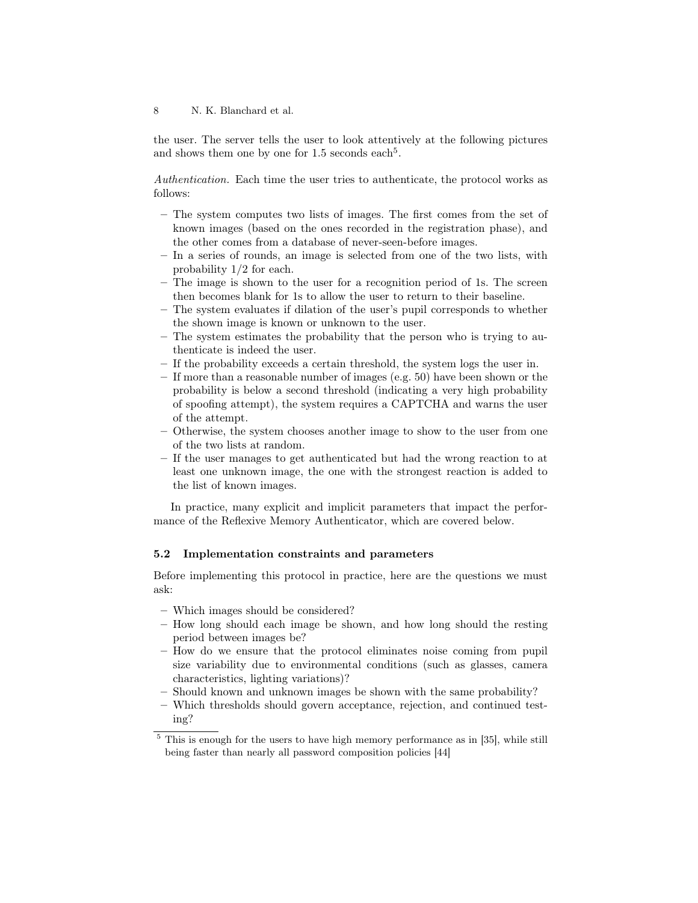the user. The server tells the user to look attentively at the following pictures and shows them one by one for  $1.5$  seconds each<sup>5</sup>.

Authentication. Each time the user tries to authenticate, the protocol works as follows:

- The system computes two lists of images. The first comes from the set of known images (based on the ones recorded in the registration phase), and the other comes from a database of never-seen-before images.
- In a series of rounds, an image is selected from one of the two lists, with probability 1/2 for each.
- The image is shown to the user for a recognition period of 1s. The screen then becomes blank for 1s to allow the user to return to their baseline.
- The system evaluates if dilation of the user's pupil corresponds to whether the shown image is known or unknown to the user.
- The system estimates the probability that the person who is trying to authenticate is indeed the user.
- If the probability exceeds a certain threshold, the system logs the user in.
- If more than a reasonable number of images (e.g. 50) have been shown or the probability is below a second threshold (indicating a very high probability of spoofing attempt), the system requires a CAPTCHA and warns the user of the attempt.
- Otherwise, the system chooses another image to show to the user from one of the two lists at random.
- If the user manages to get authenticated but had the wrong reaction to at least one unknown image, the one with the strongest reaction is added to the list of known images.

In practice, many explicit and implicit parameters that impact the performance of the Reflexive Memory Authenticator, which are covered below.

## 5.2 Implementation constraints and parameters

Before implementing this protocol in practice, here are the questions we must ask:

- Which images should be considered?
- How long should each image be shown, and how long should the resting period between images be?
- How do we ensure that the protocol eliminates noise coming from pupil size variability due to environmental conditions (such as glasses, camera characteristics, lighting variations)?
- Should known and unknown images be shown with the same probability?
- Which thresholds should govern acceptance, rejection, and continued testing?

 $5$  This is enough for the users to have high memory performance as in [35], while still being faster than nearly all password composition policies [44]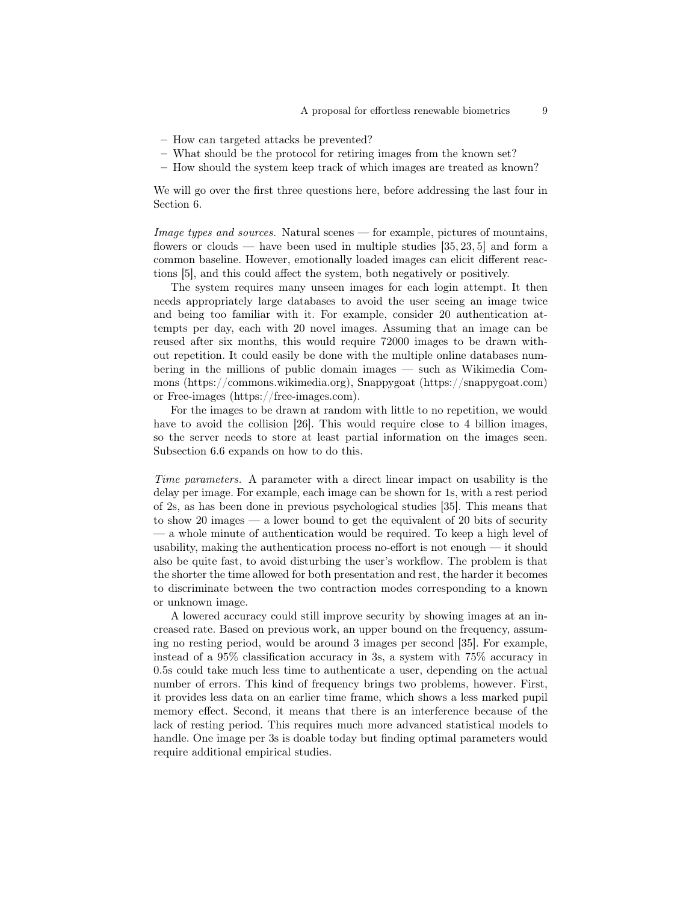- How can targeted attacks be prevented?
- What should be the protocol for retiring images from the known set?
- How should the system keep track of which images are treated as known?

We will go over the first three questions here, before addressing the last four in Section 6.

Image types and sources. Natural scenes — for example, pictures of mountains, flowers or clouds — have been used in multiple studies [35, 23, 5] and form a common baseline. However, emotionally loaded images can elicit different reactions [5], and this could affect the system, both negatively or positively.

The system requires many unseen images for each login attempt. It then needs appropriately large databases to avoid the user seeing an image twice and being too familiar with it. For example, consider 20 authentication attempts per day, each with 20 novel images. Assuming that an image can be reused after six months, this would require 72000 images to be drawn without repetition. It could easily be done with the multiple online databases numbering in the millions of public domain images — such as Wikimedia Commons (https://commons.wikimedia.org), Snappygoat (https://snappygoat.com) or Free-images (https://free-images.com).

For the images to be drawn at random with little to no repetition, we would have to avoid the collision [26]. This would require close to 4 billion images, so the server needs to store at least partial information on the images seen. Subsection 6.6 expands on how to do this.

Time parameters. A parameter with a direct linear impact on usability is the delay per image. For example, each image can be shown for 1s, with a rest period of 2s, as has been done in previous psychological studies [35]. This means that to show 20 images — a lower bound to get the equivalent of 20 bits of security — a whole minute of authentication would be required. To keep a high level of usability, making the authentication process no-effort is not enough  $-$  it should also be quite fast, to avoid disturbing the user's workflow. The problem is that the shorter the time allowed for both presentation and rest, the harder it becomes to discriminate between the two contraction modes corresponding to a known or unknown image.

A lowered accuracy could still improve security by showing images at an increased rate. Based on previous work, an upper bound on the frequency, assuming no resting period, would be around 3 images per second [35]. For example, instead of a 95% classification accuracy in 3s, a system with 75% accuracy in 0.5s could take much less time to authenticate a user, depending on the actual number of errors. This kind of frequency brings two problems, however. First, it provides less data on an earlier time frame, which shows a less marked pupil memory effect. Second, it means that there is an interference because of the lack of resting period. This requires much more advanced statistical models to handle. One image per 3s is doable today but finding optimal parameters would require additional empirical studies.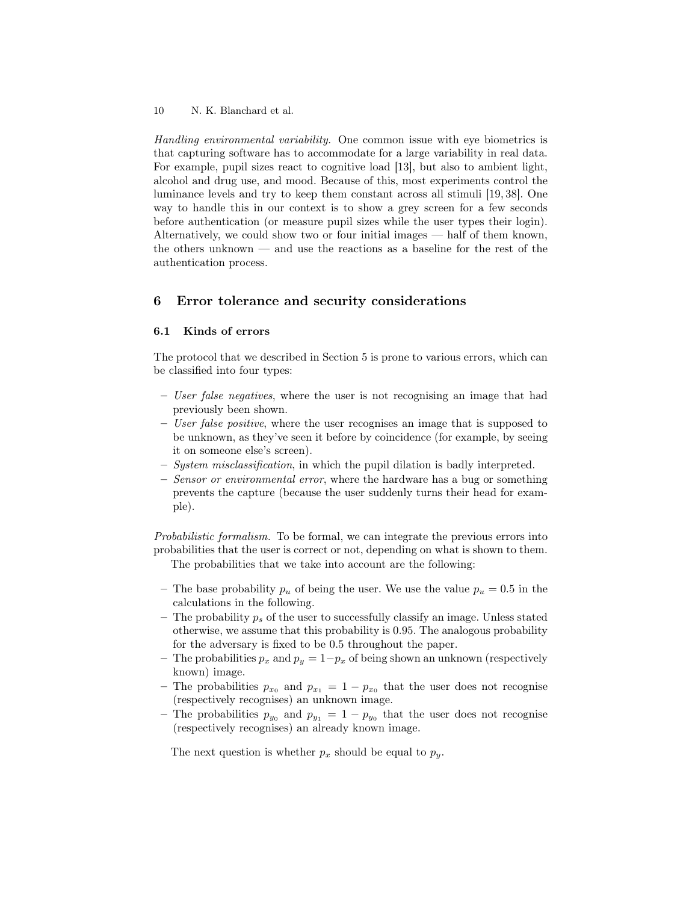Handling environmental variability. One common issue with eye biometrics is that capturing software has to accommodate for a large variability in real data. For example, pupil sizes react to cognitive load [13], but also to ambient light, alcohol and drug use, and mood. Because of this, most experiments control the luminance levels and try to keep them constant across all stimuli [19, 38]. One way to handle this in our context is to show a grey screen for a few seconds before authentication (or measure pupil sizes while the user types their login). Alternatively, we could show two or four initial images — half of them known, the others unknown — and use the reactions as a baseline for the rest of the authentication process.

# 6 Error tolerance and security considerations

## 6.1 Kinds of errors

The protocol that we described in Section 5 is prone to various errors, which can be classified into four types:

- User false negatives, where the user is not recognising an image that had previously been shown.
- User false positive, where the user recognises an image that is supposed to be unknown, as they've seen it before by coincidence (for example, by seeing it on someone else's screen).
- System misclassification, in which the pupil dilation is badly interpreted.
- Sensor or environmental error, where the hardware has a bug or something prevents the capture (because the user suddenly turns their head for example).

Probabilistic formalism. To be formal, we can integrate the previous errors into probabilities that the user is correct or not, depending on what is shown to them.

The probabilities that we take into account are the following:

- The base probability  $p_u$  of being the user. We use the value  $p_u = 0.5$  in the calculations in the following.
- The probability  $p_s$  of the user to successfully classify an image. Unless stated otherwise, we assume that this probability is 0.95. The analogous probability for the adversary is fixed to be 0.5 throughout the paper.
- The probabilities  $p_x$  and  $p_y = 1-p_x$  of being shown an unknown (respectively known) image.
- The probabilities  $p_{x_0}$  and  $p_{x_1} = 1 p_{x_0}$  that the user does not recognise (respectively recognises) an unknown image.
- The probabilities  $p_{y_0}$  and  $p_{y_1} = 1 p_{y_0}$  that the user does not recognise (respectively recognises) an already known image.

The next question is whether  $p_x$  should be equal to  $p_y$ .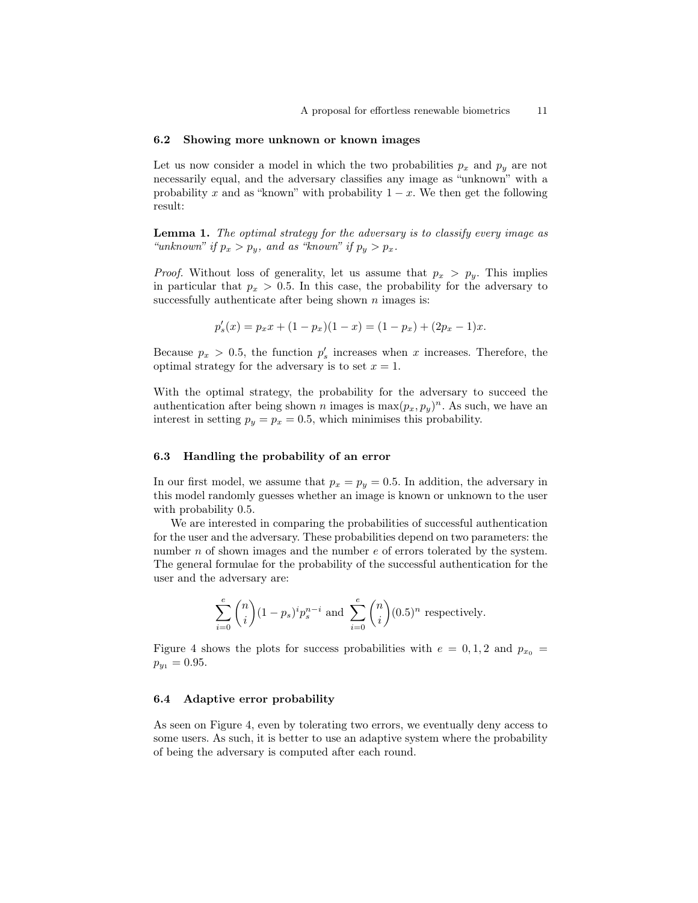#### 6.2 Showing more unknown or known images

Let us now consider a model in which the two probabilities  $p_x$  and  $p_y$  are not necessarily equal, and the adversary classifies any image as "unknown" with a probability x and as "known" with probability  $1 - x$ . We then get the following result:

Lemma 1. The optimal strategy for the adversary is to classify every image as "unknown" if  $p_x > p_y$ , and as "known" if  $p_y > p_x$ .

*Proof.* Without loss of generality, let us assume that  $p_x > p_y$ . This implies in particular that  $p_x > 0.5$ . In this case, the probability for the adversary to successfully authenticate after being shown  $n$  images is:

$$
p'_s(x) = p_x x + (1 - p_x)(1 - x) = (1 - p_x) + (2p_x - 1)x.
$$

Because  $p_x > 0.5$ , the function  $p'_s$  increases when x increases. Therefore, the optimal strategy for the adversary is to set  $x = 1$ .

With the optimal strategy, the probability for the adversary to succeed the authentication after being shown n images is  $\max(p_x, p_y)^n$ . As such, we have an interest in setting  $p_y = p_x = 0.5$ , which minimises this probability.

#### 6.3 Handling the probability of an error

In our first model, we assume that  $p_x = p_y = 0.5$ . In addition, the adversary in this model randomly guesses whether an image is known or unknown to the user with probability 0.5.

We are interested in comparing the probabilities of successful authentication for the user and the adversary. These probabilities depend on two parameters: the number  $n$  of shown images and the number  $e$  of errors tolerated by the system. The general formulae for the probability of the successful authentication for the user and the adversary are:

$$
\sum_{i=0}^{e} \binom{n}{i} (1-p_s)^i p_s^{n-i}
$$
 and 
$$
\sum_{i=0}^{e} \binom{n}{i} (0.5)^n
$$
 respectively.

Figure 4 shows the plots for success probabilities with  $e = 0, 1, 2$  and  $p_{x_0} =$  $p_{y_1} = 0.95.$ 

## 6.4 Adaptive error probability

As seen on Figure 4, even by tolerating two errors, we eventually deny access to some users. As such, it is better to use an adaptive system where the probability of being the adversary is computed after each round.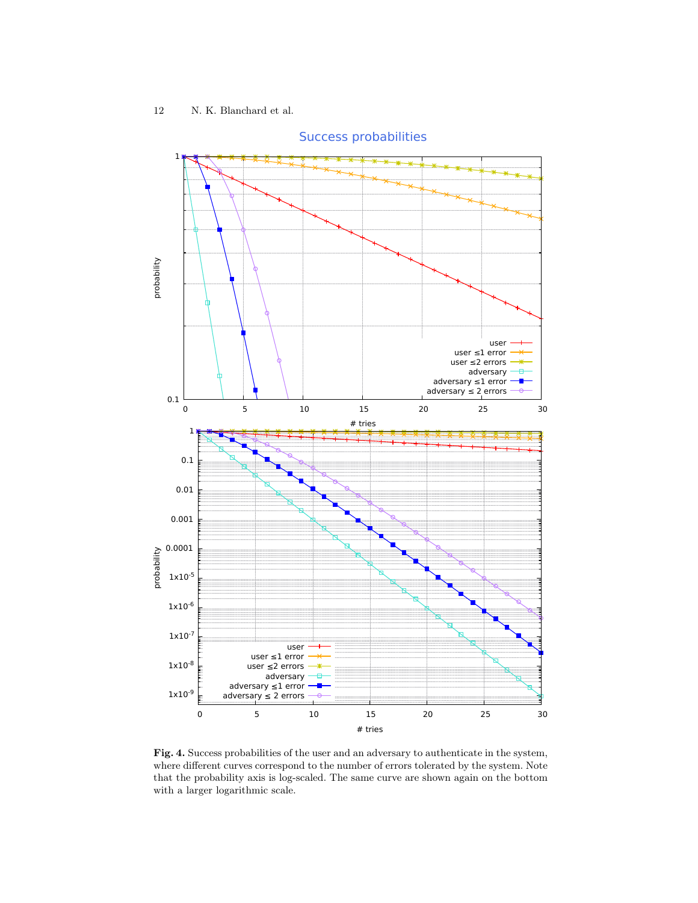

Fig. 4. Success probabilities of the user and an adversary to authenticate in the system, where different curves correspond to the number of errors tolerated by the system. Note that the probability axis is log-scaled. The same curve are shown again on the bottom with a larger logarithmic scale.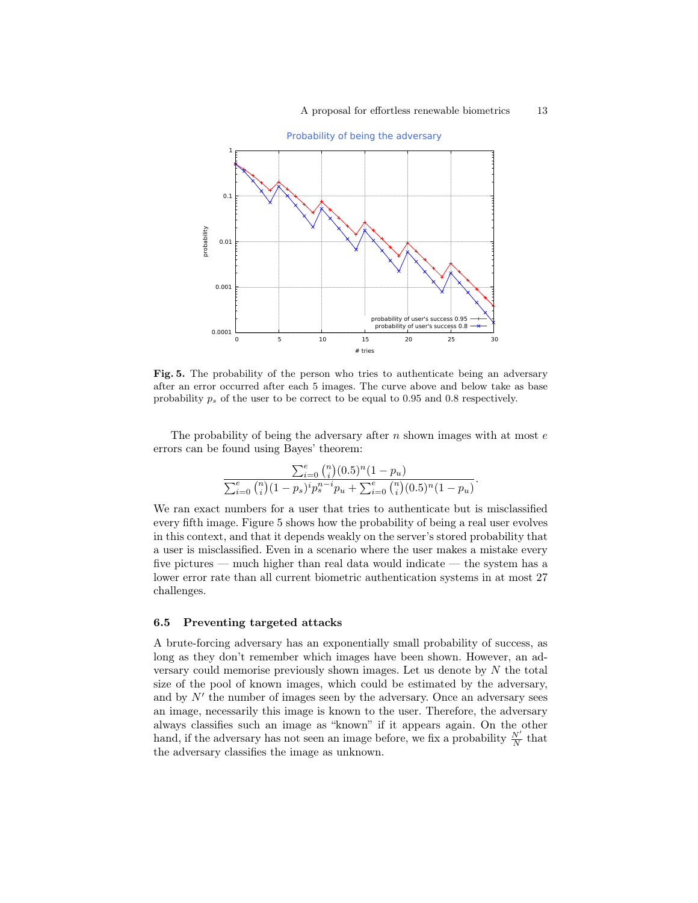

Fig. 5. The probability of the person who tries to authenticate being an adversary after an error occurred after each 5 images. The curve above and below take as base probability  $p_s$  of the user to be correct to be equal to 0.95 and 0.8 respectively.

The probability of being the adversary after n shown images with at most  $e$ errors can be found using Bayes' theorem:

$$
\frac{\sum_{i=0}^{e} {n \choose i} (0.5)^n (1-p_u)}{\sum_{i=0}^{e} {n \choose i} (1-p_s)^i p_s^{n-i} p_u + \sum_{i=0}^{e} {n \choose i} (0.5)^n (1-p_u)}.
$$

We ran exact numbers for a user that tries to authenticate but is misclassified every fifth image. Figure 5 shows how the probability of being a real user evolves in this context, and that it depends weakly on the server's stored probability that a user is misclassified. Even in a scenario where the user makes a mistake every five pictures — much higher than real data would indicate — the system has a lower error rate than all current biometric authentication systems in at most 27 challenges.

## 6.5 Preventing targeted attacks

A brute-forcing adversary has an exponentially small probability of success, as long as they don't remember which images have been shown. However, an adversary could memorise previously shown images. Let us denote by  $N$  the total size of the pool of known images, which could be estimated by the adversary, and by  $N'$  the number of images seen by the adversary. Once an adversary sees an image, necessarily this image is known to the user. Therefore, the adversary always classifies such an image as "known" if it appears again. On the other hand, if the adversary has not seen an image before, we fix a probability  $\frac{N'}{N}$  that the adversary classifies the image as unknown.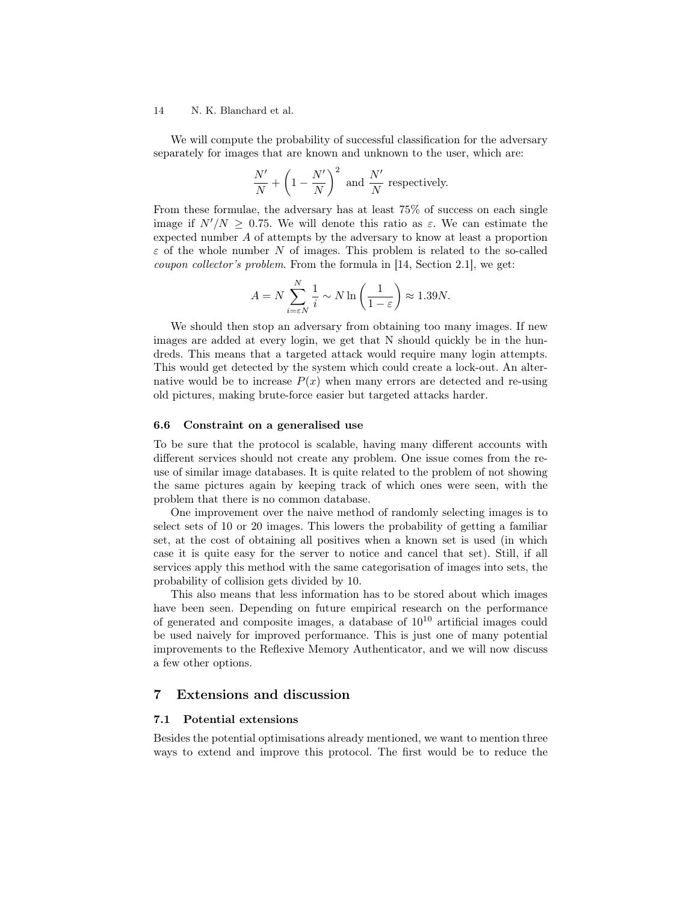We will compute the probability of successful classification for the adversary separately for images that are known and unknown to the user, which are:

$$
\frac{N'}{N} + \left(1 - \frac{N'}{N}\right)^2
$$
 and 
$$
\frac{N'}{N}
$$
 respectively.

From these formulae, the adversary has at least 75% of success on each single image if  $N'/N \geq 0.75$ . We will denote this ratio as  $\varepsilon$ . We can estimate the expected number A of attempts by the adversary to know at least a proportion  $\varepsilon$  of the whole number N of images. This problem is related to the so-called coupon collector's problem. From the formula in [14, Section 2.1], we get:

$$
A = N \sum_{i=\varepsilon N}^{N} \frac{1}{i} \sim N \ln\left(\frac{1}{1-\varepsilon}\right) \approx 1.39N.
$$

We should then stop an adversary from obtaining too many images. If new images are added at every login, we get that N should quickly be in the hundreds. This means that a targeted attack would require many login attempts. This would get detected by the system which could create a lock-out. An alternative would be to increase  $P(x)$  when many errors are detected and re-using old pictures, making brute-force easier but targeted attacks harder.

#### 6.6 Constraint on a generalised use

To be sure that the protocol is scalable, having many different accounts with different services should not create any problem. One issue comes from the reuse of similar image databases. It is quite related to the problem of not showing the same pictures again by keeping track of which ones were seen, with the problem that there is no common database.

One improvement over the naive method of randomly selecting images is to select sets of 10 or 20 images. This lowers the probability of getting a familiar set, at the cost of obtaining all positives when a known set is used (in which case it is quite easy for the server to notice and cancel that set). Still, if all services apply this method with the same categorisation of images into sets, the probability of collision gets divided by 10.

This also means that less information has to be stored about which images have been seen. Depending on future empirical research on the performance of generated and composite images, a database of  $10^{10}$  artificial images could be used naively for improved performance. This is just one of many potential improvements to the Reflexive Memory Authenticator, and we will now discuss a few other options.

## 7 Extensions and discussion

#### 7.1 Potential extensions

Besides the potential optimisations already mentioned, we want to mention three ways to extend and improve this protocol. The first would be to reduce the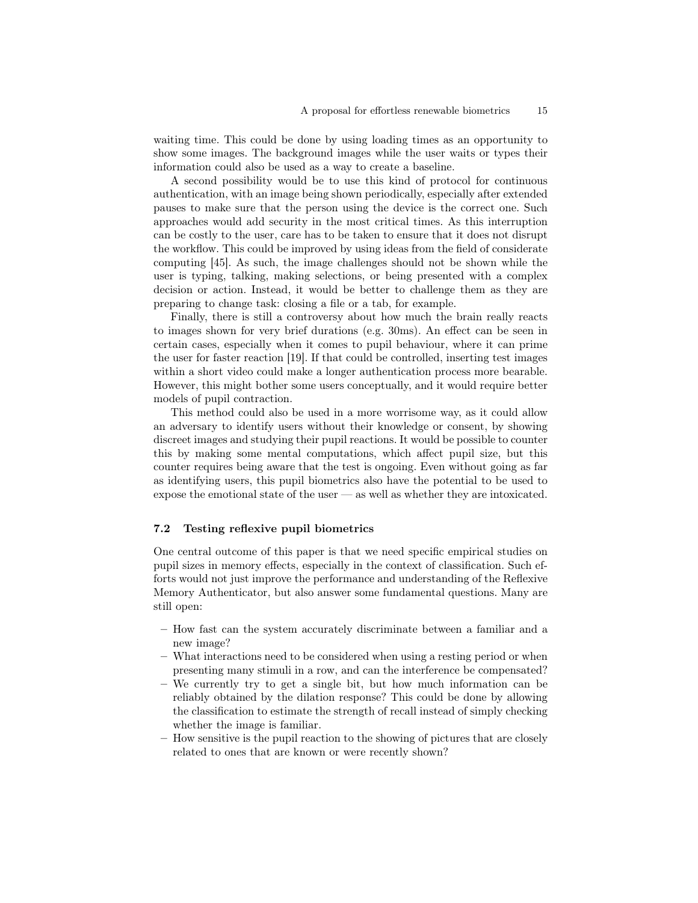waiting time. This could be done by using loading times as an opportunity to show some images. The background images while the user waits or types their information could also be used as a way to create a baseline.

A second possibility would be to use this kind of protocol for continuous authentication, with an image being shown periodically, especially after extended pauses to make sure that the person using the device is the correct one. Such approaches would add security in the most critical times. As this interruption can be costly to the user, care has to be taken to ensure that it does not disrupt the workflow. This could be improved by using ideas from the field of considerate computing [45]. As such, the image challenges should not be shown while the user is typing, talking, making selections, or being presented with a complex decision or action. Instead, it would be better to challenge them as they are preparing to change task: closing a file or a tab, for example.

Finally, there is still a controversy about how much the brain really reacts to images shown for very brief durations (e.g. 30ms). An effect can be seen in certain cases, especially when it comes to pupil behaviour, where it can prime the user for faster reaction [19]. If that could be controlled, inserting test images within a short video could make a longer authentication process more bearable. However, this might bother some users conceptually, and it would require better models of pupil contraction.

This method could also be used in a more worrisome way, as it could allow an adversary to identify users without their knowledge or consent, by showing discreet images and studying their pupil reactions. It would be possible to counter this by making some mental computations, which affect pupil size, but this counter requires being aware that the test is ongoing. Even without going as far as identifying users, this pupil biometrics also have the potential to be used to expose the emotional state of the user — as well as whether they are intoxicated.

## 7.2 Testing reflexive pupil biometrics

One central outcome of this paper is that we need specific empirical studies on pupil sizes in memory effects, especially in the context of classification. Such efforts would not just improve the performance and understanding of the Reflexive Memory Authenticator, but also answer some fundamental questions. Many are still open:

- How fast can the system accurately discriminate between a familiar and a new image?
- What interactions need to be considered when using a resting period or when presenting many stimuli in a row, and can the interference be compensated?
- We currently try to get a single bit, but how much information can be reliably obtained by the dilation response? This could be done by allowing the classification to estimate the strength of recall instead of simply checking whether the image is familiar.
- How sensitive is the pupil reaction to the showing of pictures that are closely related to ones that are known or were recently shown?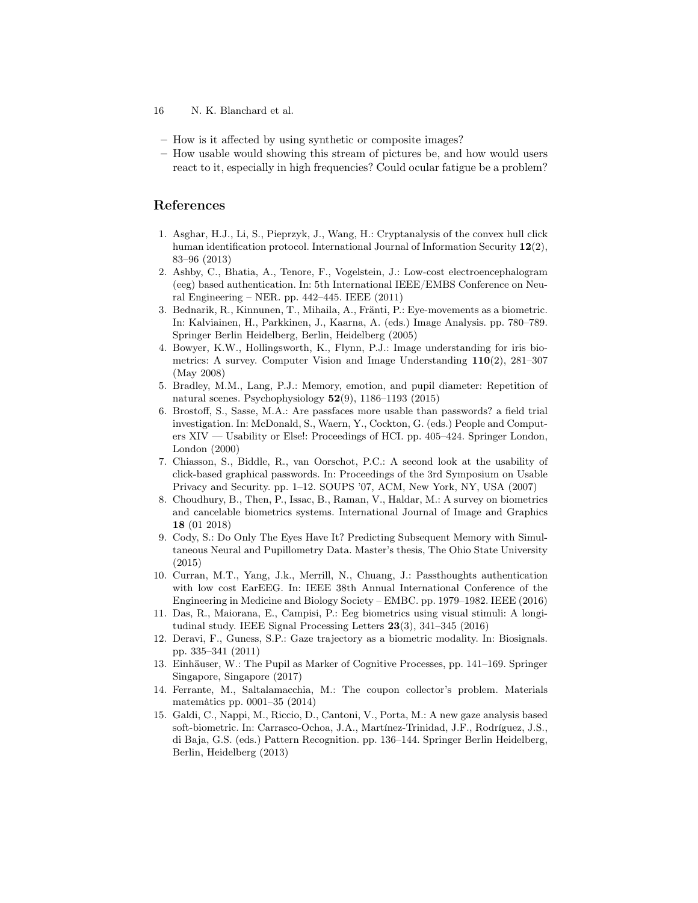- 16 N. K. Blanchard et al.
- How is it affected by using synthetic or composite images?
- How usable would showing this stream of pictures be, and how would users react to it, especially in high frequencies? Could ocular fatigue be a problem?

# References

- 1. Asghar, H.J., Li, S., Pieprzyk, J., Wang, H.: Cryptanalysis of the convex hull click human identification protocol. International Journal of Information Security  $12(2)$ , 83–96 (2013)
- 2. Ashby, C., Bhatia, A., Tenore, F., Vogelstein, J.: Low-cost electroencephalogram (eeg) based authentication. In: 5th International IEEE/EMBS Conference on Neural Engineering – NER. pp. 442–445. IEEE (2011)
- 3. Bednarik, R., Kinnunen, T., Mihaila, A., Fränti, P.: Eye-movements as a biometric. In: Kalviainen, H., Parkkinen, J., Kaarna, A. (eds.) Image Analysis. pp. 780–789. Springer Berlin Heidelberg, Berlin, Heidelberg (2005)
- 4. Bowyer, K.W., Hollingsworth, K., Flynn, P.J.: Image understanding for iris biometrics: A survey. Computer Vision and Image Understanding 110(2), 281–307 (May 2008)
- 5. Bradley, M.M., Lang, P.J.: Memory, emotion, and pupil diameter: Repetition of natural scenes. Psychophysiology 52(9), 1186–1193 (2015)
- 6. Brostoff, S., Sasse, M.A.: Are passfaces more usable than passwords? a field trial investigation. In: McDonald, S., Waern, Y., Cockton, G. (eds.) People and Computers XIV — Usability or Else!: Proceedings of HCI. pp. 405–424. Springer London, London (2000)
- 7. Chiasson, S., Biddle, R., van Oorschot, P.C.: A second look at the usability of click-based graphical passwords. In: Proceedings of the 3rd Symposium on Usable Privacy and Security. pp. 1–12. SOUPS '07, ACM, New York, NY, USA (2007)
- 8. Choudhury, B., Then, P., Issac, B., Raman, V., Haldar, M.: A survey on biometrics and cancelable biometrics systems. International Journal of Image and Graphics 18 (01 2018)
- 9. Cody, S.: Do Only The Eyes Have It? Predicting Subsequent Memory with Simultaneous Neural and Pupillometry Data. Master's thesis, The Ohio State University (2015)
- 10. Curran, M.T., Yang, J.k., Merrill, N., Chuang, J.: Passthoughts authentication with low cost EarEEG. In: IEEE 38th Annual International Conference of the Engineering in Medicine and Biology Society – EMBC. pp. 1979–1982. IEEE (2016)
- 11. Das, R., Maiorana, E., Campisi, P.: Eeg biometrics using visual stimuli: A longitudinal study. IEEE Signal Processing Letters 23(3), 341–345 (2016)
- 12. Deravi, F., Guness, S.P.: Gaze trajectory as a biometric modality. In: Biosignals. pp. 335–341 (2011)
- 13. Einhäuser, W.: The Pupil as Marker of Cognitive Processes, pp. 141–169. Springer Singapore, Singapore (2017)
- 14. Ferrante, M., Saltalamacchia, M.: The coupon collector's problem. Materials matemàtics pp. 0001–35 (2014)
- 15. Galdi, C., Nappi, M., Riccio, D., Cantoni, V., Porta, M.: A new gaze analysis based soft-biometric. In: Carrasco-Ochoa, J.A., Martínez-Trinidad, J.F., Rodríguez, J.S., di Baja, G.S. (eds.) Pattern Recognition. pp. 136–144. Springer Berlin Heidelberg, Berlin, Heidelberg (2013)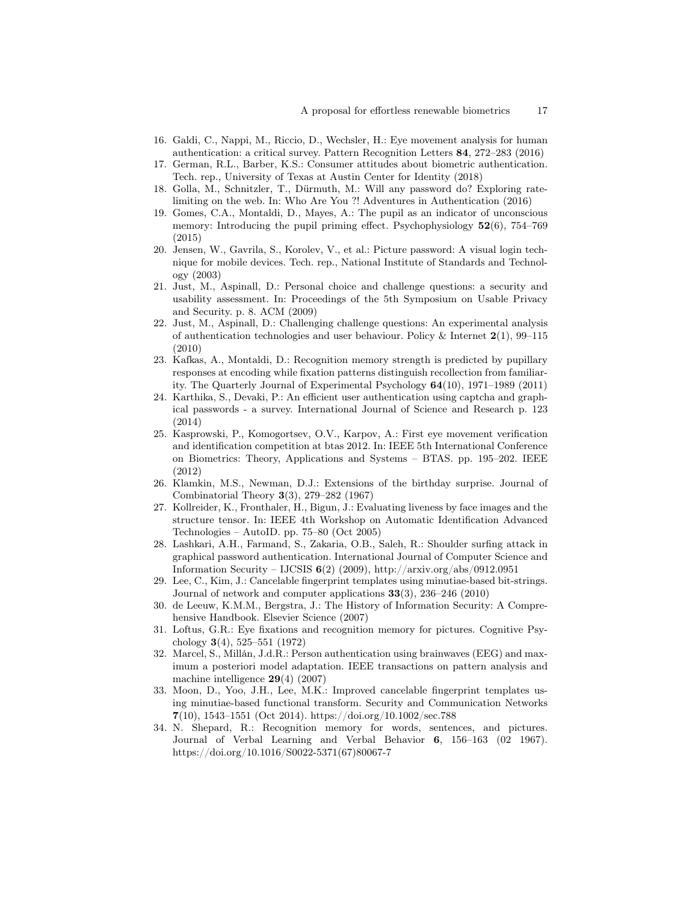- 16. Galdi, C., Nappi, M., Riccio, D., Wechsler, H.: Eye movement analysis for human authentication: a critical survey. Pattern Recognition Letters 84, 272–283 (2016)
- 17. German, R.L., Barber, K.S.: Consumer attitudes about biometric authentication. Tech. rep., University of Texas at Austin Center for Identity (2018)
- 18. Golla, M., Schnitzler, T., Dürmuth, M.: Will any password do? Exploring ratelimiting on the web. In: Who Are You ?! Adventures in Authentication (2016)
- 19. Gomes, C.A., Montaldi, D., Mayes, A.: The pupil as an indicator of unconscious memory: Introducing the pupil priming effect. Psychophysiology  $52(6)$ ,  $754-769$ (2015)
- 20. Jensen, W., Gavrila, S., Korolev, V., et al.: Picture password: A visual login technique for mobile devices. Tech. rep., National Institute of Standards and Technology (2003)
- 21. Just, M., Aspinall, D.: Personal choice and challenge questions: a security and usability assessment. In: Proceedings of the 5th Symposium on Usable Privacy and Security. p. 8. ACM (2009)
- 22. Just, M., Aspinall, D.: Challenging challenge questions: An experimental analysis of authentication technologies and user behaviour. Policy & Internet  $2(1)$ , 99–115 (2010)
- 23. Kafkas, A., Montaldi, D.: Recognition memory strength is predicted by pupillary responses at encoding while fixation patterns distinguish recollection from familiarity. The Quarterly Journal of Experimental Psychology 64(10), 1971–1989 (2011)
- 24. Karthika, S., Devaki, P.: An efficient user authentication using captcha and graphical passwords - a survey. International Journal of Science and Research p. 123 (2014)
- 25. Kasprowski, P., Komogortsev, O.V., Karpov, A.: First eye movement verification and identification competition at btas 2012. In: IEEE 5th International Conference on Biometrics: Theory, Applications and Systems – BTAS. pp. 195–202. IEEE (2012)
- 26. Klamkin, M.S., Newman, D.J.: Extensions of the birthday surprise. Journal of Combinatorial Theory 3(3), 279–282 (1967)
- 27. Kollreider, K., Fronthaler, H., Bigun, J.: Evaluating liveness by face images and the structure tensor. In: IEEE 4th Workshop on Automatic Identification Advanced Technologies – AutoID. pp. 75–80 (Oct 2005)
- 28. Lashkari, A.H., Farmand, S., Zakaria, O.B., Saleh, R.: Shoulder surfing attack in graphical password authentication. International Journal of Computer Science and Information Security – IJCSIS  $6(2)$  (2009), http://arxiv.org/abs/0912.0951
- 29. Lee, C., Kim, J.: Cancelable fingerprint templates using minutiae-based bit-strings. Journal of network and computer applications 33(3), 236–246 (2010)
- 30. de Leeuw, K.M.M., Bergstra, J.: The History of Information Security: A Comprehensive Handbook. Elsevier Science (2007)
- 31. Loftus, G.R.: Eye fixations and recognition memory for pictures. Cognitive Psychology 3(4), 525–551 (1972)
- 32. Marcel, S., Millán, J.d.R.: Person authentication using brainwaves (EEG) and maximum a posteriori model adaptation. IEEE transactions on pattern analysis and machine intelligence 29(4) (2007)
- 33. Moon, D., Yoo, J.H., Lee, M.K.: Improved cancelable fingerprint templates using minutiae-based functional transform. Security and Communication Networks 7(10), 1543–1551 (Oct 2014). https://doi.org/10.1002/sec.788
- 34. N. Shepard, R.: Recognition memory for words, sentences, and pictures. Journal of Verbal Learning and Verbal Behavior 6, 156–163 (02 1967). https://doi.org/10.1016/S0022-5371(67)80067-7